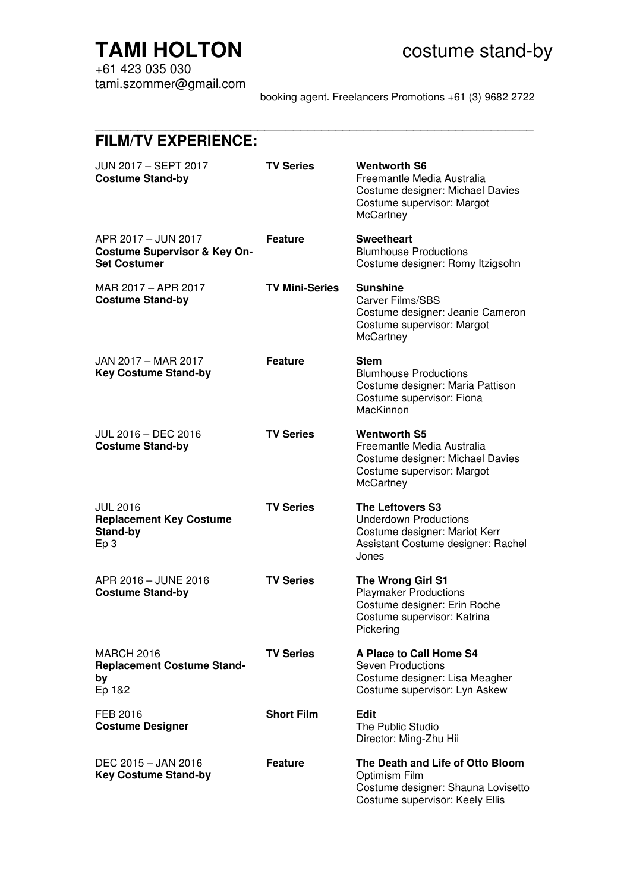# **TAMI HOLTON COSTANDING COSTANDER COSTANDER STANDER TAMIL HOLTON**

+61 423 035 030 tami.szommer@gmail.com

booking agent. Freelancers Promotions +61 (3) 9682 2722

# **FILM/TV EXPERIENCE:**

| JUN 2017 - SEPT 2017<br><b>Costume Stand-by</b>                                       | <b>TV Series</b>      | <b>Wentworth S6</b><br>Freemantle Media Australia<br>Costume designer: Michael Davies<br>Costume supervisor: Margot<br>McCartney        |
|---------------------------------------------------------------------------------------|-----------------------|-----------------------------------------------------------------------------------------------------------------------------------------|
| APR 2017 - JUN 2017<br><b>Costume Supervisor &amp; Key On-</b><br><b>Set Costumer</b> | <b>Feature</b>        | <b>Sweetheart</b><br><b>Blumhouse Productions</b><br>Costume designer: Romy Itzigsohn                                                   |
| MAR 2017 - APR 2017<br><b>Costume Stand-by</b>                                        | <b>TV Mini-Series</b> | <b>Sunshine</b><br><b>Carver Films/SBS</b><br>Costume designer: Jeanie Cameron<br>Costume supervisor: Margot<br>McCartney               |
| JAN 2017 - MAR 2017<br><b>Key Costume Stand-by</b>                                    | <b>Feature</b>        | <b>Stem</b><br><b>Blumhouse Productions</b><br>Costume designer: Maria Pattison<br>Costume supervisor: Fiona<br>MacKinnon               |
| JUL 2016 - DEC 2016<br><b>Costume Stand-by</b>                                        | <b>TV Series</b>      | <b>Wentworth S5</b><br>Freemantle Media Australia<br>Costume designer: Michael Davies<br>Costume supervisor: Margot<br>McCartney        |
| <b>JUL 2016</b><br><b>Replacement Key Costume</b><br>Stand-by<br>Ep <sub>3</sub>      | <b>TV Series</b>      | <b>The Leftovers S3</b><br><b>Underdown Productions</b><br>Costume designer: Mariot Kerr<br>Assistant Costume designer: Rachel<br>Jones |
| APR 2016 - JUNE 2016<br><b>Costume Stand-by</b>                                       | <b>TV Series</b>      | The Wrong Girl S1<br><b>Playmaker Productions</b><br>Costume designer: Erin Roche<br>Costume supervisor: Katrina<br>Pickering           |
| <b>MARCH 2016</b><br><b>Replacement Costume Stand-</b><br>by<br>Ep 1&2                | <b>TV Series</b>      | A Place to Call Home S4<br><b>Seven Productions</b><br>Costume designer: Lisa Meagher<br>Costume supervisor: Lyn Askew                  |
| FEB 2016<br><b>Costume Designer</b>                                                   | <b>Short Film</b>     | <b>Edit</b><br>The Public Studio<br>Director: Ming-Zhu Hii                                                                              |
| DEC 2015 - JAN 2016<br><b>Key Costume Stand-by</b>                                    | <b>Feature</b>        | The Death and Life of Otto Bloom<br>Optimism Film<br>Costume designer: Shauna Lovisetto<br>Costume supervisor: Keely Ellis              |

\_\_\_\_\_\_\_\_\_\_\_\_\_\_\_\_\_\_\_\_\_\_\_\_\_\_\_\_\_\_\_\_\_\_\_\_\_\_\_\_\_\_\_\_\_\_\_\_\_\_\_\_\_\_\_\_\_\_\_\_\_\_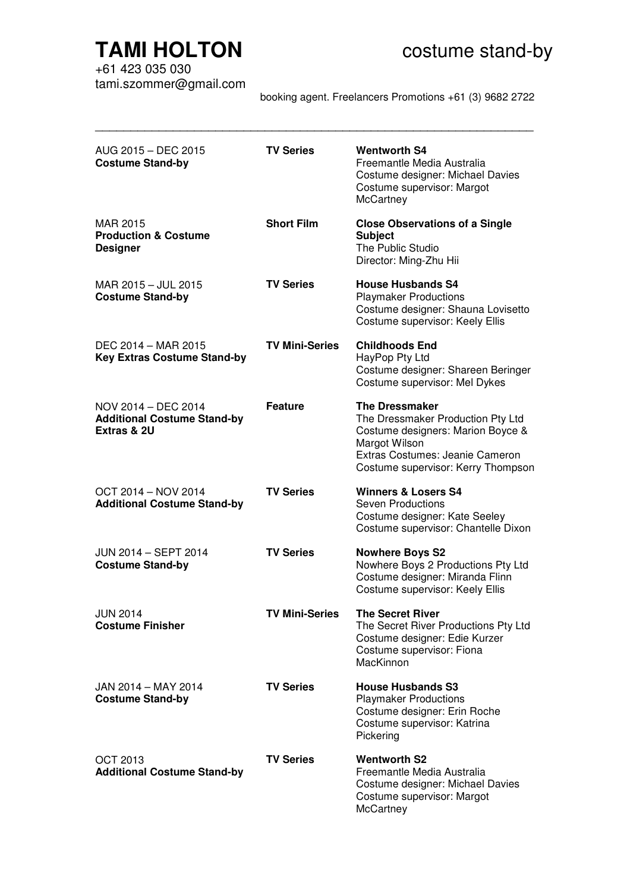# **TAMI HOLTON COSTANDING COSTANDER COSTANDER STANDER TAMIL HOLTON**

+61 423 035 030 tami.szommer@gmail.com

booking agent. Freelancers Promotions +61 (3) 9682 2722

| AUG 2015 - DEC 2015<br><b>Costume Stand-by</b>                           | <b>TV Series</b>      | <b>Wentworth S4</b><br>Freemantle Media Australia<br>Costume designer: Michael Davies<br>Costume supervisor: Margot<br>McCartney                                                          |
|--------------------------------------------------------------------------|-----------------------|-------------------------------------------------------------------------------------------------------------------------------------------------------------------------------------------|
| MAR 2015<br><b>Production &amp; Costume</b><br><b>Designer</b>           | <b>Short Film</b>     | <b>Close Observations of a Single</b><br><b>Subject</b><br>The Public Studio<br>Director: Ming-Zhu Hii                                                                                    |
| MAR 2015 - JUL 2015<br><b>Costume Stand-by</b>                           | <b>TV Series</b>      | <b>House Husbands S4</b><br><b>Playmaker Productions</b><br>Costume designer: Shauna Lovisetto<br>Costume supervisor: Keely Ellis                                                         |
| DEC 2014 - MAR 2015<br><b>Key Extras Costume Stand-by</b>                | <b>TV Mini-Series</b> | <b>Childhoods End</b><br>HayPop Pty Ltd<br>Costume designer: Shareen Beringer<br>Costume supervisor: Mel Dykes                                                                            |
| NOV 2014 - DEC 2014<br><b>Additional Costume Stand-by</b><br>Extras & 2U | <b>Feature</b>        | <b>The Dressmaker</b><br>The Dressmaker Production Pty Ltd<br>Costume designers: Marion Boyce &<br>Margot Wilson<br>Extras Costumes: Jeanie Cameron<br>Costume supervisor: Kerry Thompson |
| OCT 2014 - NOV 2014<br><b>Additional Costume Stand-by</b>                | <b>TV Series</b>      | <b>Winners &amp; Losers S4</b><br><b>Seven Productions</b><br>Costume designer: Kate Seeley<br>Costume supervisor: Chantelle Dixon                                                        |
| JUN 2014 - SEPT 2014<br><b>Costume Stand-by</b>                          | <b>TV Series</b>      | <b>Nowhere Boys S2</b><br>Nowhere Boys 2 Productions Pty Ltd<br>Costume designer: Miranda Flinn<br>Costume supervisor: Keely Ellis                                                        |
| <b>JUN 2014</b><br><b>Costume Finisher</b>                               | <b>TV Mini-Series</b> | <b>The Secret River</b><br>The Secret River Productions Pty Ltd<br>Costume designer: Edie Kurzer<br>Costume supervisor: Fiona<br>MacKinnon                                                |
| JAN 2014 - MAY 2014<br><b>Costume Stand-by</b>                           | <b>TV Series</b>      | <b>House Husbands S3</b><br><b>Playmaker Productions</b><br>Costume designer: Erin Roche<br>Costume supervisor: Katrina<br>Pickering                                                      |
| <b>OCT 2013</b><br><b>Additional Costume Stand-by</b>                    | <b>TV Series</b>      | <b>Wentworth S2</b><br>Freemantle Media Australia<br>Costume designer: Michael Davies<br>Costume supervisor: Margot<br>McCartney                                                          |

\_\_\_\_\_\_\_\_\_\_\_\_\_\_\_\_\_\_\_\_\_\_\_\_\_\_\_\_\_\_\_\_\_\_\_\_\_\_\_\_\_\_\_\_\_\_\_\_\_\_\_\_\_\_\_\_\_\_\_\_\_\_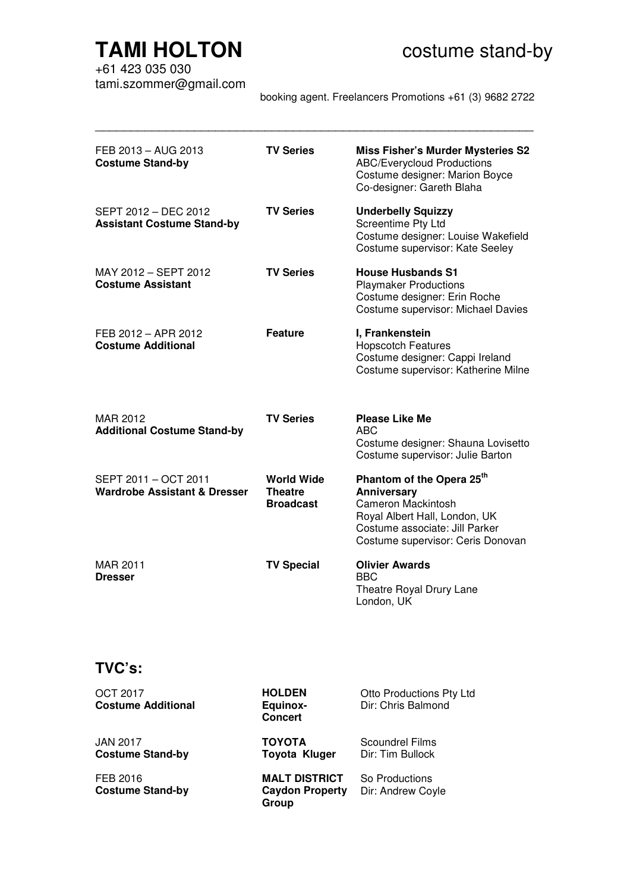# **TAMI HOLTON COSTANDING COSTANDER COSTANDER STANDER TAMIL HOLTON**

+61 423 035 030 tami.szommer@gmail.com

booking agent. Freelancers Promotions +61 (3) 9682 2722

| FEB 2013 - AUG 2013<br><b>Costume Stand-by</b>                  | <b>TV Series</b>                                        | <b>Miss Fisher's Murder Mysteries S2</b><br><b>ABC/Everycloud Productions</b><br>Costume designer: Marion Boyce<br>Co-designer: Gareth Blaha                                                     |
|-----------------------------------------------------------------|---------------------------------------------------------|--------------------------------------------------------------------------------------------------------------------------------------------------------------------------------------------------|
| SEPT 2012 - DEC 2012<br><b>Assistant Costume Stand-by</b>       | <b>TV Series</b>                                        | <b>Underbelly Squizzy</b><br>Screentime Pty Ltd<br>Costume designer: Louise Wakefield<br>Costume supervisor: Kate Seeley                                                                         |
| MAY 2012 - SEPT 2012<br><b>Costume Assistant</b>                | <b>TV Series</b>                                        | <b>House Husbands S1</b><br><b>Playmaker Productions</b><br>Costume designer: Erin Roche<br>Costume supervisor: Michael Davies                                                                   |
| FEB 2012 - APR 2012<br><b>Costume Additional</b>                | <b>Feature</b>                                          | I, Frankenstein<br><b>Hopscotch Features</b><br>Costume designer: Cappi Ireland<br>Costume supervisor: Katherine Milne                                                                           |
| MAR 2012<br><b>Additional Costume Stand-by</b>                  | <b>TV Series</b>                                        | <b>Please Like Me</b><br>ABC <sub></sub><br>Costume designer: Shauna Lovisetto<br>Costume supervisor: Julie Barton                                                                               |
| SEPT 2011 - OCT 2011<br><b>Wardrobe Assistant &amp; Dresser</b> | <b>World Wide</b><br><b>Theatre</b><br><b>Broadcast</b> | Phantom of the Opera 25 <sup>th</sup><br><b>Anniversary</b><br><b>Cameron Mackintosh</b><br>Royal Albert Hall, London, UK<br>Costume associate: Jill Parker<br>Costume supervisor: Ceris Donovan |
| MAR 2011<br><b>Dresser</b>                                      | <b>TV Special</b>                                       | <b>Olivier Awards</b><br><b>BBC</b><br>Theatre Royal Drury Lane<br>London, UK                                                                                                                    |

\_\_\_\_\_\_\_\_\_\_\_\_\_\_\_\_\_\_\_\_\_\_\_\_\_\_\_\_\_\_\_\_\_\_\_\_\_\_\_\_\_\_\_\_\_\_\_\_\_\_\_\_\_\_\_\_\_\_\_\_\_\_

### **TVC's:**

| OCT 2017<br><b>Costume Additional</b> | <b>HOLDEN</b><br><b>Equinox-</b><br><b>Concert</b>      | <b>Otto Productions Pty Ltd</b><br>Dir: Chris Balmond |
|---------------------------------------|---------------------------------------------------------|-------------------------------------------------------|
| JAN 2017<br><b>Costume Stand-by</b>   | <b>TOYOTA</b><br>Toyota Kluger                          | Scoundrel Films<br>Dir: Tim Bullock                   |
| FEB 2016<br><b>Costume Stand-by</b>   | <b>MALT DISTRICT</b><br><b>Caydon Property</b><br>Group | So Productions<br>Dir: Andrew Coyle                   |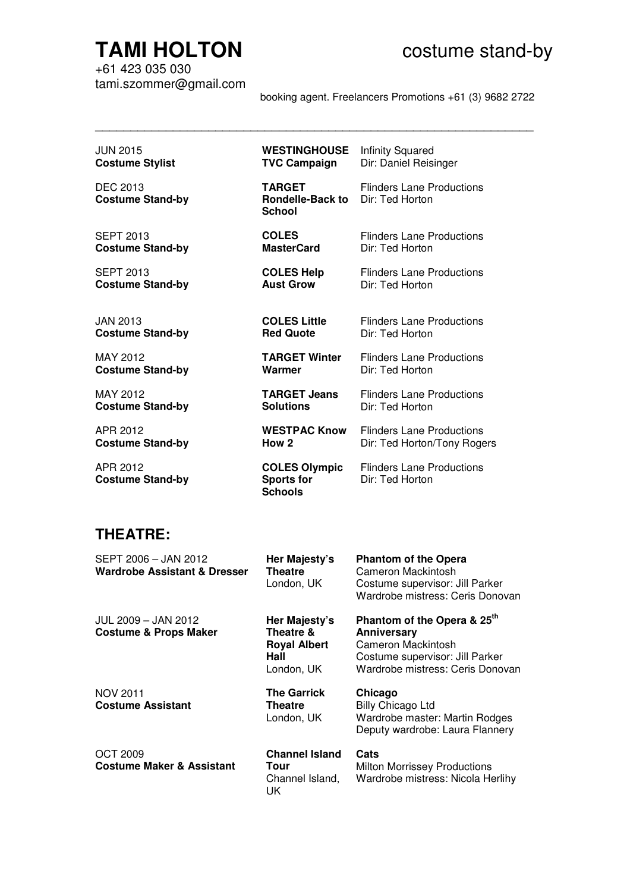# **TAMI HOLTON COSTANDING COSTANDER STANDER**

+61 423 035 030 tami.szommer@gmail.com

booking agent. Freelancers Promotions +61 (3) 9682 2722

Flinders Lane Productions

Dir: Ted Horton

| JUN 2015                                   | <b>WESTINGHOUSE</b>                                       | <b>Infinity Squared</b>                             |
|--------------------------------------------|-----------------------------------------------------------|-----------------------------------------------------|
| <b>Costume Stylist</b>                     | <b>TVC Campaign</b>                                       | Dir: Daniel Reisinger                               |
| <b>DEC 2013</b><br><b>Costume Stand-by</b> | <b>TARGET</b><br><b>Rondelle-Back to</b><br><b>School</b> | <b>Flinders Lane Productions</b><br>Dir: Ted Horton |
| SEPT 2013                                  | <b>COLES</b>                                              | <b>Flinders Lane Productions</b>                    |
| <b>Costume Stand-by</b>                    | <b>MasterCard</b>                                         | Dir: Ted Horton                                     |
| <b>SEPT 2013</b>                           | <b>COLES Help</b>                                         | <b>Flinders Lane Productions</b>                    |
| <b>Costume Stand-by</b>                    | <b>Aust Grow</b>                                          | Dir: Ted Horton                                     |
| JAN 2013                                   | <b>COLES Little</b>                                       | <b>Flinders Lane Productions</b>                    |
| <b>Costume Stand-by</b>                    | <b>Red Quote</b>                                          | Dir: Ted Horton                                     |
| MAY 2012                                   | <b>TARGET Winter</b>                                      | <b>Flinders Lane Productions</b>                    |
| <b>Costume Stand-by</b>                    | Warmer                                                    | Dir: Ted Horton                                     |
| MAY 2012                                   | <b>TARGET Jeans</b>                                       | <b>Flinders Lane Productions</b>                    |
| <b>Costume Stand-by</b>                    | <b>Solutions</b>                                          | Dir: Ted Horton                                     |
| APR 2012                                   | <b>WESTPAC Know</b>                                       | <b>Flinders Lane Productions</b>                    |
| <b>Costume Stand-by</b>                    | How 2                                                     | Dir: Ted Horton/Tony Rogers                         |

\_\_\_\_\_\_\_\_\_\_\_\_\_\_\_\_\_\_\_\_\_\_\_\_\_\_\_\_\_\_\_\_\_\_\_\_\_\_\_\_\_\_\_\_\_\_\_\_\_\_\_\_\_\_\_\_\_\_\_\_\_\_

APR 2012 **Costume Stand-by**

### **COLES Olympic Sports for Schools**

## **THEATRE:**

| SEPT 2006 - JAN 2012<br>Wardrobe Assistant & Dresser    | Her Majesty's<br><b>Theatre</b><br>London, UK                           | <b>Phantom of the Opera</b><br>Cameron Mackintosh<br>Costume supervisor: Jill Parker<br>Wardrobe mistress: Ceris Donovan                            |
|---------------------------------------------------------|-------------------------------------------------------------------------|-----------------------------------------------------------------------------------------------------------------------------------------------------|
| JUL 2009 - JAN 2012<br><b>Costume &amp; Props Maker</b> | Her Majesty's<br>Theatre &<br><b>Royal Albert</b><br>Hall<br>London, UK | Phantom of the Opera & 25 <sup>th</sup><br>Anniversary<br>Cameron Mackintosh<br>Costume supervisor: Jill Parker<br>Wardrobe mistress: Ceris Donovan |
| <b>NOV 2011</b><br><b>Costume Assistant</b>             | <b>The Garrick</b><br>Theatre<br>London, UK                             | Chicago<br><b>Billy Chicago Ltd</b><br>Wardrobe master: Martin Rodges<br>Deputy wardrobe: Laura Flannery                                            |
| <b>OCT 2009</b><br><b>Costume Maker &amp; Assistant</b> | <b>Channel Island</b><br>Tour<br>Channel Island,<br>UK                  | Cats<br><b>Milton Morrissey Productions</b><br>Wardrobe mistress: Nicola Herlihy                                                                    |